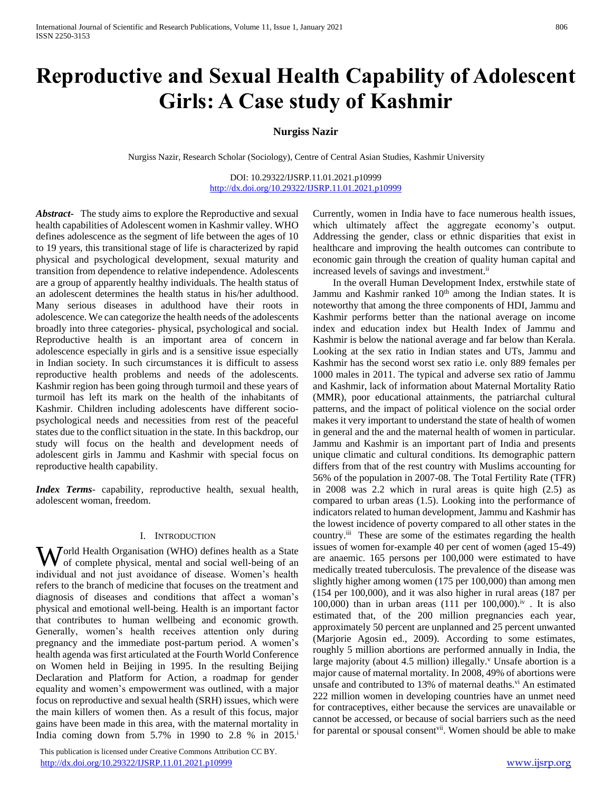# **Reproductive and Sexual Health Capability of Adolescent Girls: A Case study of Kashmir**

# **Nurgiss Nazir**

Nurgiss Nazir, Research Scholar (Sociology), Centre of Central Asian Studies, Kashmir University

DOI: 10.29322/IJSRP.11.01.2021.p10999 <http://dx.doi.org/10.29322/IJSRP.11.01.2021.p10999>

*Abstract***-** The study aims to explore the Reproductive and sexual health capabilities of Adolescent women in Kashmir valley. WHO defines adolescence as the segment of life between the ages of 10 to 19 years, this transitional stage of life is characterized by rapid physical and psychological development, sexual maturity and transition from dependence to relative independence. Adolescents are a group of apparently healthy individuals. The health status of an adolescent determines the health status in his/her adulthood. Many serious diseases in adulthood have their roots in adolescence. We can categorize the health needs of the adolescents broadly into three categories- physical, psychological and social. Reproductive health is an important area of concern in adolescence especially in girls and is a sensitive issue especially in Indian society. In such circumstances it is difficult to assess reproductive health problems and needs of the adolescents. Kashmir region has been going through turmoil and these years of turmoil has left its mark on the health of the inhabitants of Kashmir. Children including adolescents have different sociopsychological needs and necessities from rest of the peaceful states due to the conflict situation in the state. In this backdrop, our study will focus on the health and development needs of adolescent girls in Jammu and Kashmir with special focus on reproductive health capability.

*Index Terms*- capability, reproductive health, sexual health, adolescent woman, freedom.

#### I. INTRODUCTION

orld Health Organisation (WHO) defines health as a State World Health Organisation (WHO) defines health as a State of complete physical, mental and social well-being of an individual and not just avoidance of disease. Women's health refers to the branch of medicine that focuses on the treatment and diagnosis of diseases and conditions that affect a woman's physical and emotional well-being. Health is an important factor that contributes to human wellbeing and economic growth. Generally, women's health receives attention only during pregnancy and the immediate post-partum period. A women's health agenda was first articulated at the Fourth World Conference on Women held in Beijing in 1995. In the resulting Beijing Declaration and Platform for Action, a roadmap for gender equality and women's empowerment was outlined, with a major focus on reproductive and sexual health (SRH) issues, which were the main killers of women then. As a result of this focus, major gains have been made in this area, with the maternal mortality in India coming down from  $5.7\%$  in 1990 to 2.8 % in 2015.<sup>i</sup>

 This publication is licensed under Creative Commons Attribution CC BY. <http://dx.doi.org/10.29322/IJSRP.11.01.2021.p10999> [www.ijsrp.org](http://ijsrp.org/)

Currently, women in India have to face numerous health issues, which ultimately affect the aggregate economy's output. Addressing the gender, class or ethnic disparities that exist in healthcare and improving the health outcomes can contribute to economic gain through the creation of quality human capital and increased levels of savings and investment.<sup>ii</sup>

 In the overall Human Development Index, erstwhile state of Jammu and Kashmir ranked 10<sup>th</sup> among the Indian states. It is noteworthy that among the three components of HDI, Jammu and Kashmir performs better than the national average on income index and education index but Health Index of Jammu and Kashmir is below the national average and far below than Kerala. Looking at the sex ratio in Indian states and UTs, Jammu and Kashmir has the second worst sex ratio i.e. only 889 females per 1000 males in 2011. The typical and adverse sex ratio of Jammu and Kashmir, lack of information about Maternal Mortality Ratio (MMR), poor educational attainments, the patriarchal cultural patterns, and the impact of political violence on the social order makes it very important to understand the state of health of women in general and the and the maternal health of women in particular. Jammu and Kashmir is an important part of India and presents unique climatic and cultural conditions. Its demographic pattern differs from that of the rest country with Muslims accounting for 56% of the population in 2007-08. The Total Fertility Rate (TFR) in 2008 was 2.2 which in rural areas is quite high (2.5) as compared to urban areas (1.5). Looking into the performance of indicators related to human development, Jammu and Kashmir has the lowest incidence of poverty compared to all other states in the country.<sup>iii</sup> These are some of the estimates regarding the health issues of women for-example 40 per cent of women (aged 15-49) are anaemic. 165 persons per 100,000 were estimated to have medically treated tuberculosis. The prevalence of the disease was slightly higher among women (175 per 100,000) than among men (154 per 100,000), and it was also higher in rural areas (187 per 100,000) than in urban areas (111 per 100,000).<sup>iv</sup>. It is also estimated that, of the 200 million pregnancies each year, approximately 50 percent are unplanned and 25 percent unwanted (Marjorie Agosin ed., 2009). According to some estimates, roughly 5 million abortions are performed annually in India, the large majority (about 4.5 million) illegally. $\theta$  Unsafe abortion is a major cause of maternal mortality. In 2008, 49% of abortions were unsafe and contributed to 13% of maternal deaths.<sup>vi</sup> An estimated 222 million women in developing countries have an unmet need for contraceptives, either because the services are unavailable or cannot be accessed, or because of social barriers such as the need for parental or spousal consent<sup>vii</sup>. Women should be able to make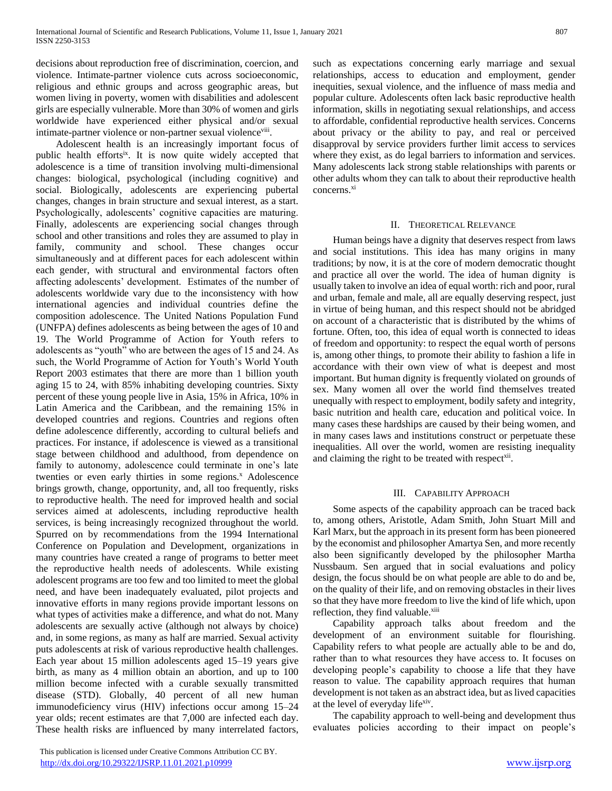decisions about reproduction free of discrimination, coercion, and violence. Intimate-partner violence cuts across socioeconomic, religious and ethnic groups and across geographic areas, but women living in poverty, women with disabilities and adolescent girls are especially vulnerable. More than 30% of women and girls worldwide have experienced either physical and/or sexual intimate-partner violence or non-partner sexual violenceviii.

 Adolescent health is an increasingly important focus of public health effortsix. It is now quite widely accepted that adolescence is a time of transition involving multi-dimensional changes: biological, psychological (including cognitive) and social. Biologically, adolescents are experiencing pubertal changes, changes in brain structure and sexual interest, as a start. Psychologically, adolescents' cognitive capacities are maturing. Finally, adolescents are experiencing social changes through school and other transitions and roles they are assumed to play in family, community and school. These changes occur simultaneously and at different paces for each adolescent within each gender, with structural and environmental factors often affecting adolescents' development. Estimates of the number of adolescents worldwide vary due to the inconsistency with how international agencies and individual countries define the composition adolescence. The United Nations Population Fund (UNFPA) defines adolescents as being between the ages of 10 and 19. The World Programme of Action for Youth refers to adolescents as "youth" who are between the ages of 15 and 24. As such, the World Programme of Action for Youth's World Youth Report 2003 estimates that there are more than 1 billion youth aging 15 to 24, with 85% inhabiting developing countries. Sixty percent of these young people live in Asia, 15% in Africa, 10% in Latin America and the Caribbean, and the remaining 15% in developed countries and regions. Countries and regions often define adolescence differently, according to cultural beliefs and practices. For instance, if adolescence is viewed as a transitional stage between childhood and adulthood, from dependence on family to autonomy, adolescence could terminate in one's late twenties or even early thirties in some regions.<sup>x</sup> Adolescence brings growth, change, opportunity, and, all too frequently, risks to reproductive health. The need for improved health and social services aimed at adolescents, including reproductive health services, is being increasingly recognized throughout the world. Spurred on by recommendations from the 1994 International Conference on Population and Development, organizations in many countries have created a range of programs to better meet the reproductive health needs of adolescents. While existing adolescent programs are too few and too limited to meet the global need, and have been inadequately evaluated, pilot projects and innovative efforts in many regions provide important lessons on what types of activities make a difference, and what do not. Many adolescents are sexually active (although not always by choice) and, in some regions, as many as half are married. Sexual activity puts adolescents at risk of various reproductive health challenges. Each year about 15 million adolescents aged 15–19 years give birth, as many as 4 million obtain an abortion, and up to 100 million become infected with a curable sexually transmitted disease (STD). Globally, 40 percent of all new human immunodeficiency virus (HIV) infections occur among 15–24 year olds; recent estimates are that 7,000 are infected each day. These health risks are influenced by many interrelated factors,

 This publication is licensed under Creative Commons Attribution CC BY. <http://dx.doi.org/10.29322/IJSRP.11.01.2021.p10999> [www.ijsrp.org](http://ijsrp.org/)

such as expectations concerning early marriage and sexual relationships, access to education and employment, gender inequities, sexual violence, and the influence of mass media and popular culture. Adolescents often lack basic reproductive health information, skills in negotiating sexual relationships, and access to affordable, confidential reproductive health services. Concerns about privacy or the ability to pay, and real or perceived disapproval by service providers further limit access to services where they exist, as do legal barriers to information and services. Many adolescents lack strong stable relationships with parents or other adults whom they can talk to about their reproductive health concerns.<sup>xi</sup>

#### II. THEORETICAL RELEVANCE

 Human beings have a dignity that deserves respect from laws and social institutions. This idea has many origins in many traditions; by now, it is at the core of modern democratic thought and practice all over the world. The idea of human dignity is usually taken to involve an idea of equal worth: rich and poor, rural and urban, female and male, all are equally deserving respect, just in virtue of being human, and this respect should not be abridged on account of a characteristic that is distributed by the whims of fortune. Often, too, this idea of equal worth is connected to ideas of freedom and opportunity: to respect the equal worth of persons is, among other things, to promote their ability to fashion a life in accordance with their own view of what is deepest and most important. But human dignity is frequently violated on grounds of sex. Many women all over the world find themselves treated unequally with respect to employment, bodily safety and integrity, basic nutrition and health care, education and political voice. In many cases these hardships are caused by their being women, and in many cases laws and institutions construct or perpetuate these inequalities. All over the world, women are resisting inequality and claiming the right to be treated with respect<sup>xii</sup>.

#### III. CAPABILITY APPROACH

 Some aspects of the capability approach can be traced back to, among others, Aristotle, Adam Smith, John Stuart Mill and Karl Marx, but the approach in its present form has been pioneered by the economist and philosopher Amartya Sen, and more recently also been significantly developed by the philosopher Martha Nussbaum. Sen argued that in social evaluations and policy design, the focus should be on what people are able to do and be, on the quality of their life, and on removing obstacles in their lives so that they have more freedom to live the kind of life which, upon reflection, they find valuable.<sup>xiii</sup>

 Capability approach talks about freedom and the development of an environment suitable for flourishing. Capability refers to what people are actually able to be and do, rather than to what resources they have access to. It focuses on developing people's capability to choose a life that they have reason to value. The capability approach requires that human development is not taken as an abstract idea, but as lived capacities at the level of everyday life<sup>xiv</sup>.

 The capability approach to well-being and development thus evaluates policies according to their impact on people's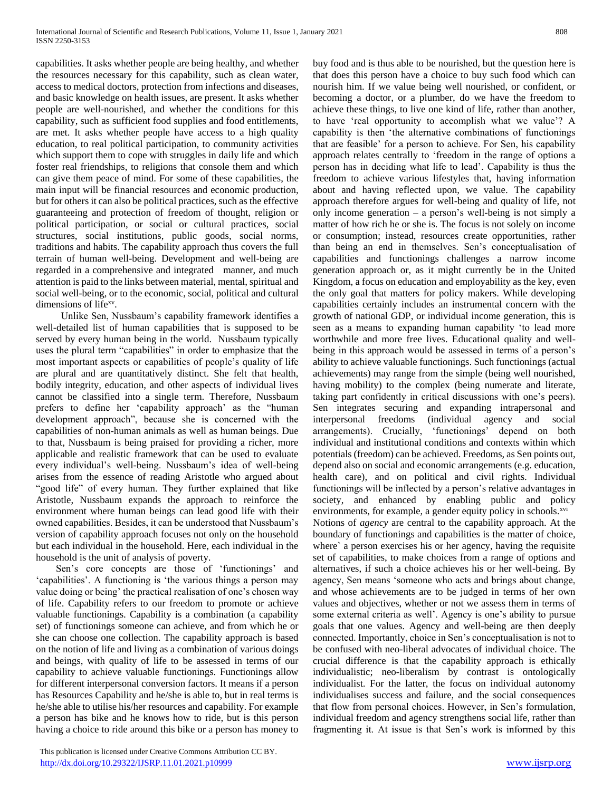capabilities. It asks whether people are being healthy, and whether the resources necessary for this capability, such as clean water, access to medical doctors, protection from infections and diseases, and basic knowledge on health issues, are present. It asks whether people are well-nourished, and whether the conditions for this capability, such as sufficient food supplies and food entitlements, are met. It asks whether people have access to a high quality education, to real political participation, to community activities which support them to cope with struggles in daily life and which foster real friendships, to religions that console them and which can give them peace of mind. For some of these capabilities, the main input will be financial resources and economic production, but for others it can also be political practices, such as the effective guaranteeing and protection of freedom of thought, religion or political participation, or social or cultural practices, social structures, social institutions, public goods, social norms, traditions and habits. The capability approach thus covers the full terrain of human well-being. Development and well-being are regarded in a comprehensive and integrated manner, and much attention is paid to the links between material, mental, spiritual and social well-being, or to the economic, social, political and cultural dimensions of life<sup>xv</sup>.

 Unlike Sen, Nussbaum's capability framework identifies a well-detailed list of human capabilities that is supposed to be served by every human being in the world. Nussbaum typically uses the plural term "capabilities" in order to emphasize that the most important aspects or capabilities of people's quality of life are plural and are quantitatively distinct. She felt that health, bodily integrity, education, and other aspects of individual lives cannot be classified into a single term. Therefore, Nussbaum prefers to define her 'capability approach' as the "human development approach", because she is concerned with the capabilities of non-human animals as well as human beings. Due to that, Nussbaum is being praised for providing a richer, more applicable and realistic framework that can be used to evaluate every individual's well-being. Nussbaum's idea of well-being arises from the essence of reading Aristotle who argued about "good life" of every human. They further explained that like Aristotle, Nussbaum expands the approach to reinforce the environment where human beings can lead good life with their owned capabilities. Besides, it can be understood that Nussbaum's version of capability approach focuses not only on the household but each individual in the household. Here, each individual in the household is the unit of analysis of poverty.

 Sen's core concepts are those of 'functionings' and 'capabilities'. A functioning is 'the various things a person may value doing or being' the practical realisation of one's chosen way of life. Capability refers to our freedom to promote or achieve valuable functionings. Capability is a combination (a capability set) of functionings someone can achieve, and from which he or she can choose one collection. The capability approach is based on the notion of life and living as a combination of various doings and beings, with quality of life to be assessed in terms of our capability to achieve valuable functionings. Functionings allow for different interpersonal conversion factors. It means if a person has Resources Capability and he/she is able to, but in real terms is he/she able to utilise his/her resources and capability. For example a person has bike and he knows how to ride, but is this person having a choice to ride around this bike or a person has money to

approach relates centrally to 'freedom in the range of options a person has in deciding what life to lead'. Capability is thus the freedom to achieve various lifestyles that, having information about and having reflected upon, we value. The capability approach therefore argues for well-being and quality of life, not only income generation – a person's well-being is not simply a matter of how rich he or she is. The focus is not solely on income or consumption; instead, resources create opportunities, rather than being an end in themselves. Sen's conceptualisation of capabilities and functionings challenges a narrow income generation approach or, as it might currently be in the United Kingdom, a focus on education and employability as the key, even the only goal that matters for policy makers. While developing capabilities certainly includes an instrumental concern with the growth of national GDP, or individual income generation, this is seen as a means to expanding human capability 'to lead more worthwhile and more free lives. Educational quality and wellbeing in this approach would be assessed in terms of a person's ability to achieve valuable functionings. Such functionings (actual achievements) may range from the simple (being well nourished, having mobility) to the complex (being numerate and literate, taking part confidently in critical discussions with one's peers). Sen integrates securing and expanding intrapersonal and interpersonal freedoms (individual agency and social arrangements). Crucially, 'functionings' depend on both individual and institutional conditions and contexts within which potentials (freedom) can be achieved. Freedoms, as Sen points out, depend also on social and economic arrangements (e.g. education, health care), and on political and civil rights. Individual functionings will be inflected by a person's relative advantages in society, and enhanced by enabling public and policy environments, for example, a gender equity policy in schools.<sup>xvi</sup> Notions of *agency* are central to the capability approach. At the boundary of functionings and capabilities is the matter of choice, where` a person exercises his or her agency, having the requisite set of capabilities, to make choices from a range of options and alternatives, if such a choice achieves his or her well-being. By agency, Sen means 'someone who acts and brings about change, and whose achievements are to be judged in terms of her own values and objectives, whether or not we assess them in terms of some external criteria as well'. Agency is one's ability to pursue goals that one values. Agency and well-being are then deeply connected. Importantly, choice in Sen's conceptualisation is not to be confused with neo-liberal advocates of individual choice. The crucial difference is that the capability approach is ethically individualistic; neo-liberalism by contrast is ontologically individualist. For the latter, the focus on individual autonomy individualises success and failure, and the social consequences that flow from personal choices. However, in Sen's formulation, individual freedom and agency strengthens social life, rather than fragmenting it. At issue is that Sen's work is informed by this

buy food and is thus able to be nourished, but the question here is that does this person have a choice to buy such food which can nourish him. If we value being well nourished, or confident, or becoming a doctor, or a plumber, do we have the freedom to achieve these things, to live one kind of life, rather than another, to have 'real opportunity to accomplish what we value'? A capability is then 'the alternative combinations of functionings that are feasible' for a person to achieve. For Sen, his capability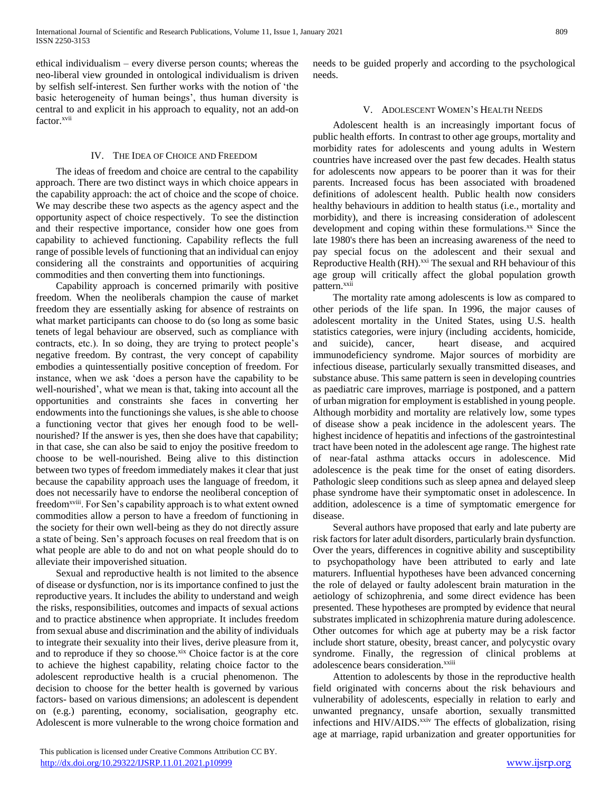ethical individualism – every diverse person counts; whereas the neo-liberal view grounded in ontological individualism is driven by selfish self-interest. Sen further works with the notion of 'the basic heterogeneity of human beings', thus human diversity is central to and explicit in his approach to equality, not an add-on factor.xvii

#### IV. THE IDEA OF CHOICE AND FREEDOM

 The ideas of freedom and choice are central to the capability approach. There are two distinct ways in which choice appears in the capability approach: the act of choice and the scope of choice. We may describe these two aspects as the agency aspect and the opportunity aspect of choice respectively. To see the distinction and their respective importance, consider how one goes from capability to achieved functioning. Capability reflects the full range of possible levels of functioning that an individual can enjoy considering all the constraints and opportunities of acquiring commodities and then converting them into functionings.

 Capability approach is concerned primarily with positive freedom. When the neoliberals champion the cause of market freedom they are essentially asking for absence of restraints on what market participants can choose to do (so long as some basic tenets of legal behaviour are observed, such as compliance with contracts, etc.). In so doing, they are trying to protect people's negative freedom. By contrast, the very concept of capability embodies a quintessentially positive conception of freedom. For instance, when we ask 'does a person have the capability to be well-nourished', what we mean is that, taking into account all the opportunities and constraints she faces in converting her endowments into the functionings she values, is she able to choose a functioning vector that gives her enough food to be wellnourished? If the answer is yes, then she does have that capability; in that case, she can also be said to enjoy the positive freedom to choose to be well-nourished. Being alive to this distinction between two types of freedom immediately makes it clear that just because the capability approach uses the language of freedom, it does not necessarily have to endorse the neoliberal conception of freedom<sup>xviii</sup>. For Sen's capability approach is to what extent owned commodities allow a person to have a freedom of functioning in the society for their own well-being as they do not directly assure a state of being. Sen's approach focuses on real freedom that is on what people are able to do and not on what people should do to alleviate their impoverished situation.

 Sexual and reproductive health is not limited to the absence of disease or dysfunction, nor is its importance confined to just the reproductive years. It includes the ability to understand and weigh the risks, responsibilities, outcomes and impacts of sexual actions and to practice abstinence when appropriate. It includes freedom from sexual abuse and discrimination and the ability of individuals to integrate their sexuality into their lives, derive pleasure from it, and to reproduce if they so choose.xix Choice factor is at the core to achieve the highest capability, relating choice factor to the adolescent reproductive health is a crucial phenomenon. The decision to choose for the better health is governed by various factors- based on various dimensions; an adolescent is dependent on (e.g.) parenting, economy, socialisation, geography etc. Adolescent is more vulnerable to the wrong choice formation and

needs to be guided properly and according to the psychological needs.

# V. ADOLESCENT WOMEN'S HEALTH NEEDS

 Adolescent health is an increasingly important focus of public health efforts. In contrast to other age groups, mortality and morbidity rates for adolescents and young adults in Western countries have increased over the past few decades. Health status for adolescents now appears to be poorer than it was for their parents. Increased focus has been associated with broadened definitions of adolescent health. Public health now considers healthy behaviours in addition to health status (i.e., mortality and morbidity), and there is increasing consideration of adolescent development and coping within these formulations.<sup>xx</sup> Since the late 1980's there has been an increasing awareness of the need to pay special focus on the adolescent and their sexual and Reproductive Health (RH).<sup>xxi</sup> The sexual and RH behaviour of this age group will critically affect the global population growth pattern.<sup>xxii</sup>

 The mortality rate among adolescents is low as compared to other periods of the life span. In 1996, the major causes of adolescent mortality in the United States, using U.S. health statistics categories, were injury (including accidents, homicide, and suicide), cancer, heart disease, and acquired immunodeficiency syndrome. Major sources of morbidity are infectious disease, particularly sexually transmitted diseases, and substance abuse. This same pattern is seen in developing countries as paediatric care improves, marriage is postponed, and a pattern of urban migration for employment is established in young people. Although morbidity and mortality are relatively low, some types of disease show a peak incidence in the adolescent years. The highest incidence of hepatitis and infections of the gastrointestinal tract have been noted in the adolescent age range. The highest rate of near-fatal asthma attacks occurs in adolescence. Mid adolescence is the peak time for the onset of eating disorders. Pathologic sleep conditions such as sleep apnea and delayed sleep phase syndrome have their symptomatic onset in adolescence. In addition, adolescence is a time of symptomatic emergence for disease.

 Several authors have proposed that early and late puberty are risk factors for later adult disorders, particularly brain dysfunction. Over the years, differences in cognitive ability and susceptibility to psychopathology have been attributed to early and late maturers. Influential hypotheses have been advanced concerning the role of delayed or faulty adolescent brain maturation in the aetiology of schizophrenia, and some direct evidence has been presented. These hypotheses are prompted by evidence that neural substrates implicated in schizophrenia mature during adolescence. Other outcomes for which age at puberty may be a risk factor include short stature, obesity, breast cancer, and polycystic ovary syndrome. Finally, the regression of clinical problems at adolescence bears consideration.<sup>xxiii</sup>

 Attention to adolescents by those in the reproductive health field originated with concerns about the risk behaviours and vulnerability of adolescents, especially in relation to early and unwanted pregnancy, unsafe abortion, sexually transmitted infections and HIV/AIDS.<sup>xxiv</sup> The effects of globalization, rising age at marriage, rapid urbanization and greater opportunities for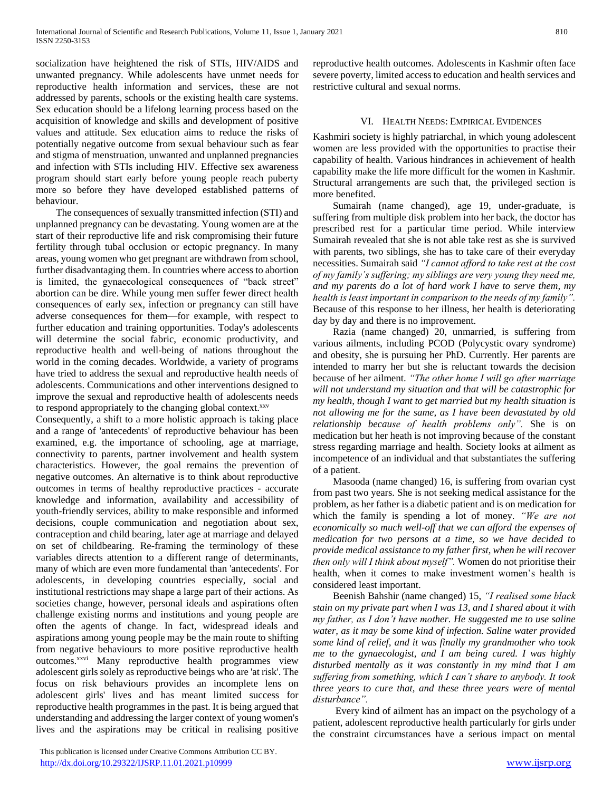socialization have heightened the risk of STIs, HIV/AIDS and unwanted pregnancy. While adolescents have unmet needs for reproductive health information and services, these are not addressed by parents, schools or the existing health care systems. Sex education should be a lifelong learning process based on the acquisition of knowledge and skills and development of positive values and attitude. Sex education aims to reduce the risks of potentially negative outcome from sexual behaviour such as fear and stigma of menstruation, unwanted and unplanned pregnancies and infection with STIs including HIV. Effective sex awareness program should start early before young people reach puberty more so before they have developed established patterns of behaviour.

 The consequences of sexually transmitted infection (STI) and unplanned pregnancy can be devastating. Young women are at the start of their reproductive life and risk compromising their future fertility through tubal occlusion or ectopic pregnancy. In many areas, young women who get pregnant are withdrawn from school, further disadvantaging them. In countries where access to abortion is limited, the gynaecological consequences of "back street" abortion can be dire. While young men suffer fewer direct health consequences of early sex, infection or pregnancy can still have adverse consequences for them—for example, with respect to further education and training opportunities. Today's adolescents will determine the social fabric, economic productivity, and reproductive health and well-being of nations throughout the world in the coming decades. Worldwide, a variety of programs have tried to address the sexual and reproductive health needs of adolescents. Communications and other interventions designed to improve the sexual and reproductive health of adolescents needs to respond appropriately to the changing global context.<sup>xxv</sup>

Consequently, a shift to a more holistic approach is taking place and a range of 'antecedents' of reproductive behaviour has been examined, e.g. the importance of schooling, age at marriage, connectivity to parents, partner involvement and health system characteristics. However, the goal remains the prevention of negative outcomes. An alternative is to think about reproductive outcomes in terms of healthy reproductive practices - accurate knowledge and information, availability and accessibility of youth-friendly services, ability to make responsible and informed decisions, couple communication and negotiation about sex, contraception and child bearing, later age at marriage and delayed on set of childbearing. Re-framing the terminology of these variables directs attention to a different range of determinants, many of which are even more fundamental than 'antecedents'. For adolescents, in developing countries especially, social and institutional restrictions may shape a large part of their actions. As societies change, however, personal ideals and aspirations often challenge existing norms and institutions and young people are often the agents of change. In fact, widespread ideals and aspirations among young people may be the main route to shifting from negative behaviours to more positive reproductive health outcomes.<sup>xxvi</sup> Many reproductive health programmes view adolescent girls solely as reproductive beings who are 'at risk'. The focus on risk behaviours provides an incomplete lens on adolescent girls' lives and has meant limited success for reproductive health programmes in the past. It is being argued that understanding and addressing the larger context of young women's lives and the aspirations may be critical in realising positive reproductive health outcomes. Adolescents in Kashmir often face severe poverty, limited access to education and health services and restrictive cultural and sexual norms.

# VI. HEALTH NEEDS: EMPIRICAL EVIDENCES

Kashmiri society is highly patriarchal, in which young adolescent women are less provided with the opportunities to practise their capability of health. Various hindrances in achievement of health capability make the life more difficult for the women in Kashmir. Structural arrangements are such that, the privileged section is more benefited.

 Sumairah (name changed), age 19, under-graduate, is suffering from multiple disk problem into her back, the doctor has prescribed rest for a particular time period. While interview Sumairah revealed that she is not able take rest as she is survived with parents, two siblings, she has to take care of their everyday necessities. Sumairah said *"I cannot afford to take rest at the cost of my family's suffering; my siblings are very young they need me, and my parents do a lot of hard work I have to serve them, my health is least important in comparison to the needs of my family".* Because of this response to her illness, her health is deteriorating day by day and there is no improvement.

 Razia (name changed) 20, unmarried, is suffering from various ailments, including PCOD (Polycystic ovary syndrome) and obesity, she is pursuing her PhD. Currently. Her parents are intended to marry her but she is reluctant towards the decision because of her ailment. *"The other home I will go after marriage will not understand my situation and that will be catastrophic for my health, though I want to get married but my health situation is not allowing me for the same, as I have been devastated by old relationship because of health problems only".* She is on medication but her heath is not improving because of the constant stress regarding marriage and health. Society looks at ailment as incompetence of an individual and that substantiates the suffering of a patient.

 Masooda (name changed) 16, is suffering from ovarian cyst from past two years. She is not seeking medical assistance for the problem, as her father is a diabetic patient and is on medication for which the family is spending a lot of money. *"We are not economically so much well-off that we can afford the expenses of medication for two persons at a time, so we have decided to provide medical assistance to my father first, when he will recover then only will I think about myself".* Women do not prioritise their health, when it comes to make investment women's health is considered least important.

 Beenish Bahshir (name changed) 15, *"I realised some black stain on my private part when I was 13, and I shared about it with my father, as I don't have mother. He suggested me to use saline water, as it may be some kind of infection. Saline water provided some kind of relief, and it was finally my grandmother who took me to the gynaecologist, and I am being cured. I was highly disturbed mentally as it was constantly in my mind that I am suffering from something, which I can't share to anybody. It took three years to cure that, and these three years were of mental disturbance".* 

 Every kind of ailment has an impact on the psychology of a patient, adolescent reproductive health particularly for girls under the constraint circumstances have a serious impact on mental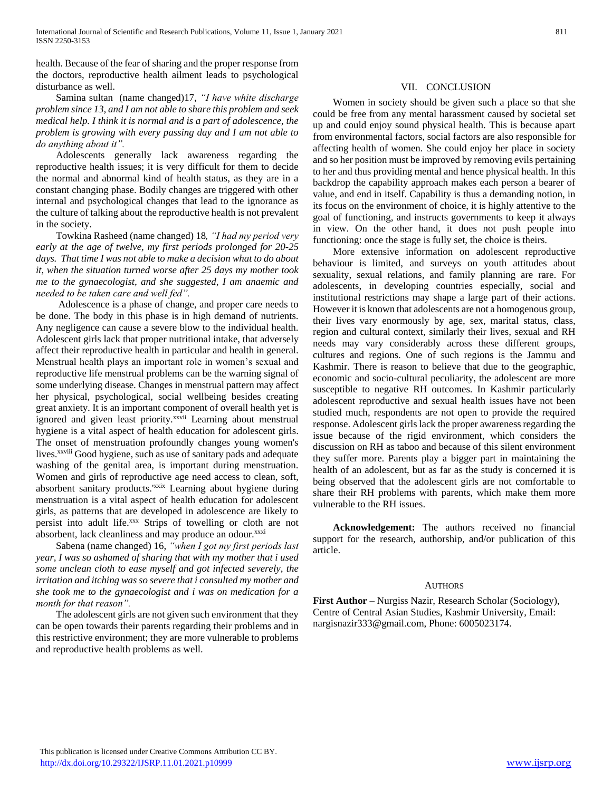health. Because of the fear of sharing and the proper response from the doctors, reproductive health ailment leads to psychological disturbance as well.

 Samina sultan (name changed)17, *"I have white discharge problem since 13, and I am not able to share this problem and seek medical help. I think it is normal and is a part of adolescence, the problem is growing with every passing day and I am not able to do anything about it".*

 Adolescents generally lack awareness regarding the reproductive health issues; it is very difficult for them to decide the normal and abnormal kind of health status, as they are in a constant changing phase. Bodily changes are triggered with other internal and psychological changes that lead to the ignorance as the culture of talking about the reproductive health is not prevalent in the society.

 Towkina Rasheed (name changed) 18*, "I had my period very early at the age of twelve, my first periods prolonged for 20-25 days. That time I was not able to make a decision what to do about it, when the situation turned worse after 25 days my mother took me to the gynaecologist, and she suggested, I am anaemic and needed to be taken care and well fed".*

 Adolescence is a phase of change, and proper care needs to be done. The body in this phase is in high demand of nutrients. Any negligence can cause a severe blow to the individual health. Adolescent girls lack that proper nutritional intake, that adversely affect their reproductive health in particular and health in general. Menstrual health plays an important role in women's sexual and reproductive life menstrual problems can be the warning signal of some underlying disease. Changes in menstrual pattern may affect her physical, psychological, social wellbeing besides creating great anxiety. It is an important component of overall health yet is ignored and given least priority.<sup>xxvii</sup> Learning about menstrual hygiene is a vital aspect of health education for adolescent girls. The onset of menstruation profoundly changes young women's lives.<sup>xxviii</sup> Good hygiene, such as use of sanitary pads and adequate washing of the genital area, is important during menstruation. Women and girls of reproductive age need access to clean, soft, absorbent sanitary products.<sup>'xxix</sup> Learning about hygiene during menstruation is a vital aspect of health education for adolescent girls, as patterns that are developed in adolescence are likely to persist into adult life.xxx Strips of towelling or cloth are not absorbent, lack cleanliness and may produce an odour.<sup>xxxi</sup>

 Sabena (name changed) 16, *"when I got my first periods last year, I was so ashamed of sharing that with my mother that i used some unclean cloth to ease myself and got infected severely, the irritation and itching was so severe that i consulted my mother and she took me to the gynaecologist and i was on medication for a month for that reason".* 

 The adolescent girls are not given such environment that they can be open towards their parents regarding their problems and in this restrictive environment; they are more vulnerable to problems and reproductive health problems as well.

# VII. CONCLUSION

 Women in society should be given such a place so that she could be free from any mental harassment caused by societal set up and could enjoy sound physical health. This is because apart from environmental factors, social factors are also responsible for affecting health of women. She could enjoy her place in society and so her position must be improved by removing evils pertaining to her and thus providing mental and hence physical health. In this backdrop the capability approach makes each person a bearer of value, and end in itself. Capability is thus a demanding notion, in its focus on the environment of choice, it is highly attentive to the goal of functioning, and instructs governments to keep it always in view. On the other hand, it does not push people into functioning: once the stage is fully set, the choice is theirs.

 More extensive information on adolescent reproductive behaviour is limited, and surveys on youth attitudes about sexuality, sexual relations, and family planning are rare. For adolescents, in developing countries especially, social and institutional restrictions may shape a large part of their actions. However it is known that adolescents are not a homogenous group, their lives vary enormously by age, sex, marital status, class, region and cultural context, similarly their lives, sexual and RH needs may vary considerably across these different groups, cultures and regions. One of such regions is the Jammu and Kashmir. There is reason to believe that due to the geographic, economic and socio-cultural peculiarity, the adolescent are more susceptible to negative RH outcomes. In Kashmir particularly adolescent reproductive and sexual health issues have not been studied much, respondents are not open to provide the required response. Adolescent girls lack the proper awareness regarding the issue because of the rigid environment, which considers the discussion on RH as taboo and because of this silent environment they suffer more. Parents play a bigger part in maintaining the health of an adolescent, but as far as the study is concerned it is being observed that the adolescent girls are not comfortable to share their RH problems with parents, which make them more vulnerable to the RH issues.

 **Acknowledgement:** The authors received no financial support for the research, authorship, and/or publication of this article.

#### AUTHORS

**First Author** – Nurgiss Nazir, Research Scholar (Sociology), Centre of Central Asian Studies, Kashmir University, Email: nargisnazir333@gmail.com, Phone: 6005023174.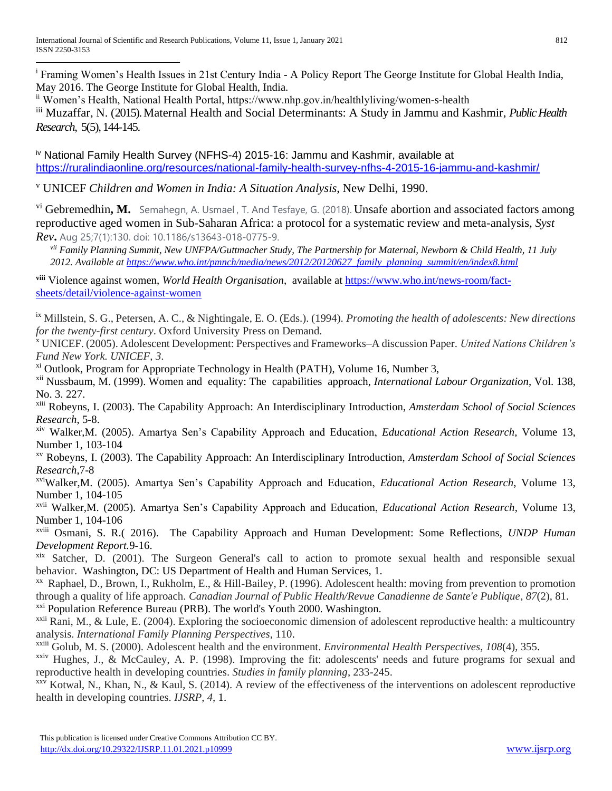<sup>i</sup> Framing Women's Health Issues in 21st Century India - A Policy Report The George Institute for Global Health India, May 2016. The George Institute for Global Health, India.  $\overline{a}$ 

ii Women's Health, National Health Portal, https://www.nhp.gov.in/healthlyliving/women-s-health

iii Muzaffar, N. (2015). Maternal Health and Social Determinants: A Study in Jammu and Kashmir, *Public Health Research*, 5(5), 144-145.

iv National Family Health Survey (NFHS-4) 2015-16: Jammu and Kashmir, available at <https://ruralindiaonline.org/resources/national-family-health-survey-nfhs-4-2015-16-jammu-and-kashmir/>

<sup>v</sup> UNICEF *Children and Women in India: A Situation Analysis*, New Delhi, 1990.

vi Gebremedhin, M. Semahegn, A. Usmael, T. And Tesfaye, G. (2018). Unsafe abortion and associated factors among reproductive aged women in Sub-Saharan Africa: a protocol for a systematic review and meta-analysis, *Syst Rev***.** Aug 25;7(1):130. doi: 10.1186/s13643-018-0775-9.

*vii Family Planning Summit, New UNFPA/Guttmacher Study, The Partnership for Maternal, Newborn & Child Health, 11 July 2012. Available at [https://www.who.int/pmnch/media/news/2012/20120627\\_family\\_planning\\_summit/en/index8.html](https://www.who.int/pmnch/media/news/2012/20120627_family_planning_summit/en/index8.html)*

**viii** Violence against women, *World Health Organisation*, available at [https://www.who.int/news-room/fact](https://www.who.int/news-room/fact-sheets/detail/violence-against-women)[sheets/detail/violence-against-women](https://www.who.int/news-room/fact-sheets/detail/violence-against-women)

ix Millstein, S. G., Petersen, A. C., & Nightingale, E. O. (Eds.). (1994). *Promoting the health of adolescents: New directions for the twenty-first century*. Oxford University Press on Demand.

<sup>x</sup> UNICEF. (2005). Adolescent Development: Perspectives and Frameworks–A discussion Paper. *United Nations Children's Fund New York. UNICEF*, *3*.

 $x_i$ <sup>xi</sup> Outlook, Program for Appropriate Technology in Health (PATH), Volume 16, Number 3,

xii Nussbaum, M. (1999). Women and equality: The capabilities approach, *International Labour Organization*, Vol. 138, No. 3. 227.

xiii Robeyns, I. (2003). The Capability Approach: An Interdisciplinary Introduction, *Amsterdam School of Social Sciences Research*, 5-8.

xiv Walker,M. (2005). Amartya Sen's Capability Approach and Education, *Educational Action Research*, Volume 13, Number 1, 103-104

xv Robeyns, I. (2003). The Capability Approach: An Interdisciplinary Introduction, *Amsterdam School of Social Sciences Research*,7-8

xviWalker,M. (2005). Amartya Sen's Capability Approach and Education, *Educational Action Research*, Volume 13, Number 1, 104-105

xvii Walker,M. (2005). Amartya Sen's Capability Approach and Education, *Educational Action Research*, Volume 13, Number 1, 104-106

xviii Osmani, S. R.( 2016). The Capability Approach and Human Development: Some Reflections, *UNDP Human Development Report.*9-16.

xix Satcher, D. (2001). The Surgeon General's call to action to promote sexual health and responsible sexual behavior. Washington, DC: US Department of Health and Human Services, 1.

xx Raphael, D., Brown, I., Rukholm, E., & Hill-Bailey, P. (1996). Adolescent health: moving from prevention to promotion through a quality of life approach. *Canadian Journal of Public Health/Revue Canadienne de Sante'e Publique*, *87*(2), 81. <sup>xxi</sup> Population Reference Bureau (PRB). The world's Youth 2000. Washington.

 $xxi$ <sup>xxii</sup> Rani, M., & Lule, E. (2004). Exploring the socioeconomic dimension of adolescent reproductive health: a multicountry analysis. *International Family Planning Perspectives*, 110.

xxiii Golub, M. S. (2000). Adolescent health and the environment. *Environmental Health Perspectives*, *108*(4), 355.

 $xxiv$  Hughes, J., & McCauley, A. P. (1998). Improving the fit: adolescents' needs and future programs for sexual and reproductive health in developing countries. *Studies in family planning*, 233-245.

 $x_{xx}$ <sup>xxv</sup> Kotwal, N., Khan, N., & Kaul, S. (2014). A review of the effectiveness of the interventions on adolescent reproductive health in developing countries. *IJSRP*, *4*, 1.